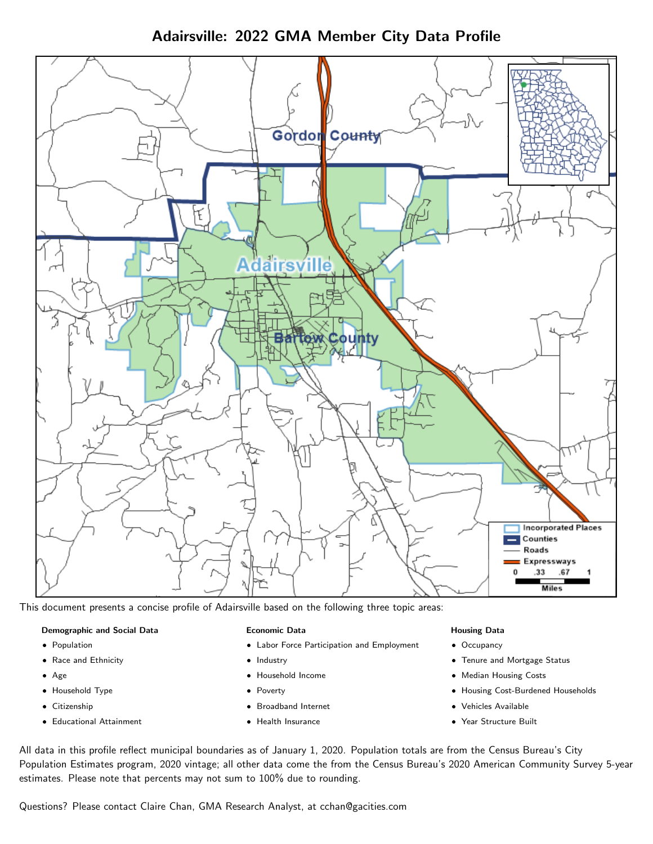Adairsville: 2022 GMA Member City Data Profile



This document presents a concise profile of Adairsville based on the following three topic areas:

### Demographic and Social Data

- **•** Population
- Race and Ethnicity
- Age
- Household Type
- **Citizenship**
- Educational Attainment

#### Economic Data

- Labor Force Participation and Employment
- Industry
- Household Income
- Poverty
- Broadband Internet
- Health Insurance

#### Housing Data

- Occupancy
- Tenure and Mortgage Status
- Median Housing Costs
- Housing Cost-Burdened Households
- Vehicles Available
- Year Structure Built

All data in this profile reflect municipal boundaries as of January 1, 2020. Population totals are from the Census Bureau's City Population Estimates program, 2020 vintage; all other data come the from the Census Bureau's 2020 American Community Survey 5-year estimates. Please note that percents may not sum to 100% due to rounding.

Questions? Please contact Claire Chan, GMA Research Analyst, at [cchan@gacities.com.](mailto:cchan@gacities.com)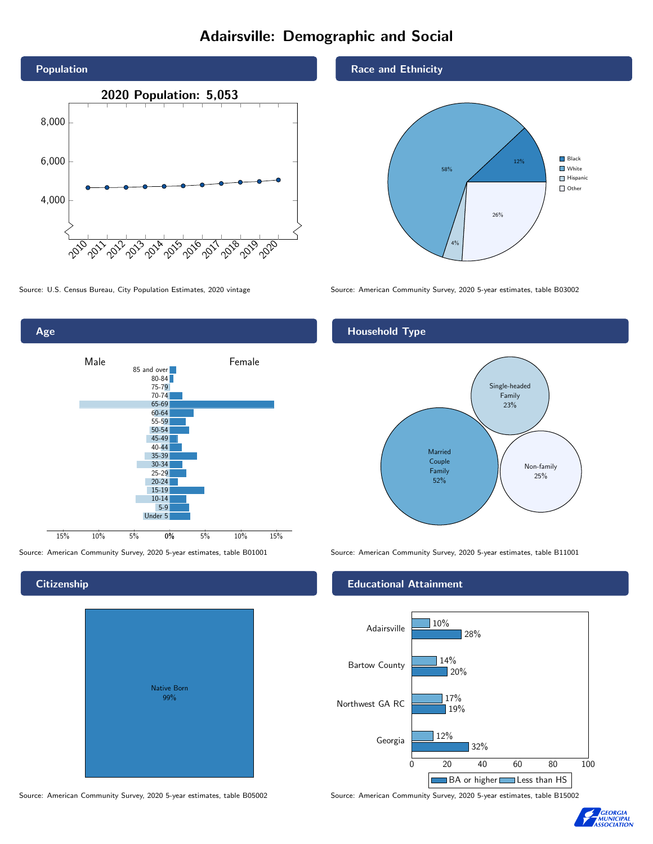# Adairsville: Demographic and Social





**Citizenship** 

Native Born 99%

#### Race and Ethnicity



Source: U.S. Census Bureau, City Population Estimates, 2020 vintage Source: American Community Survey, 2020 5-year estimates, table B03002

#### Household Type



Source: American Community Survey, 2020 5-year estimates, table B01001 Source: American Community Survey, 2020 5-year estimates, table B11001

#### Educational Attainment



Source: American Community Survey, 2020 5-year estimates, table B05002 Source: American Community Survey, 2020 5-year estimates, table B15002

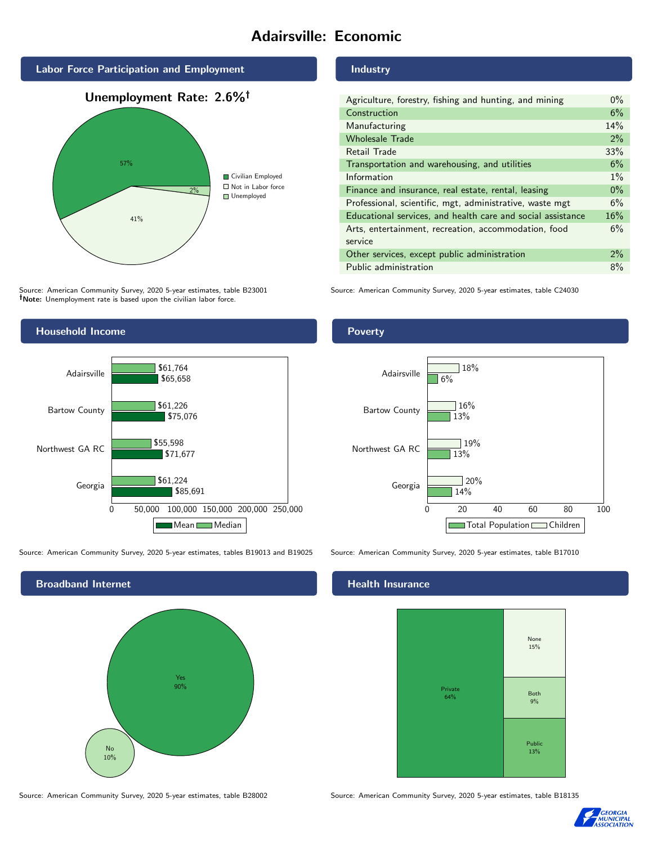# Adairsville: Economic



Source: American Community Survey, 2020 5-year estimates, table B23001 Note: Unemployment rate is based upon the civilian labor force.



Source: American Community Survey, 2020 5-year estimates, tables B19013 and B19025 Source: American Community Survey, 2020 5-year estimates, table B17010



Source: American Community Survey, 2020 5-year estimates, table B28002 Source: American Community Survey, 2020 5-year estimates, table B18135

#### Industry

| Agriculture, forestry, fishing and hunting, and mining      | $0\%$ |
|-------------------------------------------------------------|-------|
| Construction                                                | 6%    |
| Manufacturing                                               | 14%   |
| <b>Wholesale Trade</b>                                      | 2%    |
| Retail Trade                                                | 33%   |
| Transportation and warehousing, and utilities               | 6%    |
| Information                                                 | $1\%$ |
| Finance and insurance, real estate, rental, leasing         | $0\%$ |
| Professional, scientific, mgt, administrative, waste mgt    | 6%    |
| Educational services, and health care and social assistance | 16%   |
| Arts, entertainment, recreation, accommodation, food        | 6%    |
| service                                                     |       |
| Other services, except public administration                | $2\%$ |
| Public administration                                       | 8%    |

Source: American Community Survey, 2020 5-year estimates, table C24030

#### Poverty



#### **Health Insurance**